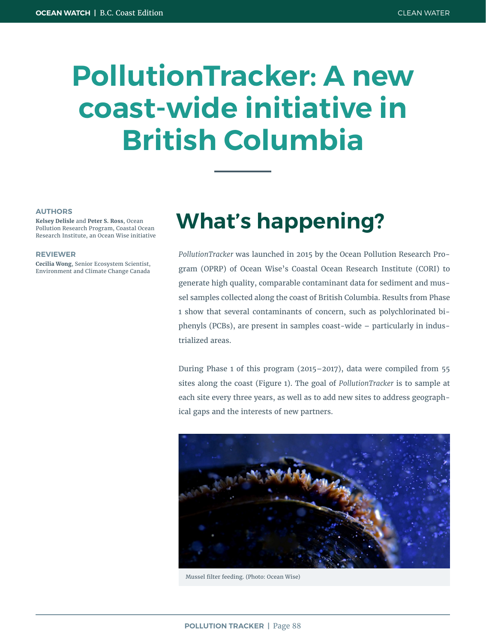# **PollutionTracker: A new coast-wide initiative in British Columbia**

#### **AUTHORS**

**Kelsey Delisle** and **Peter S. Ross**, Ocean Pollution Research Program, Coastal Ocean Research Institute, an Ocean Wise initiative

#### **REVIEWER**

**Cecilia Wong**, Senior Ecosystem Scientist, Environment and Climate Change Canada

### **What's happening?**

*PollutionTracker* was launched in 2015 by the Ocean Pollution Research Program (OPRP) of Ocean Wise's Coastal Ocean Research Institute (CORI) to generate high quality, comparable contaminant data for sediment and mussel samples collected along the coast of British Columbia. Results from Phase 1 show that several contaminants of concern, such as polychlorinated biphenyls (PCBs), are present in samples coast-wide – particularly in industrialized areas.

During Phase 1 of this program (2015–2017), data were compiled from 55 sites along the coast (Figure 1). The goal of *PollutionTracker* is to sample at each site every three years, as well as to add new sites to address geographical gaps and the interests of new partners.



Mussel filter feeding. (Photo: Ocean Wise)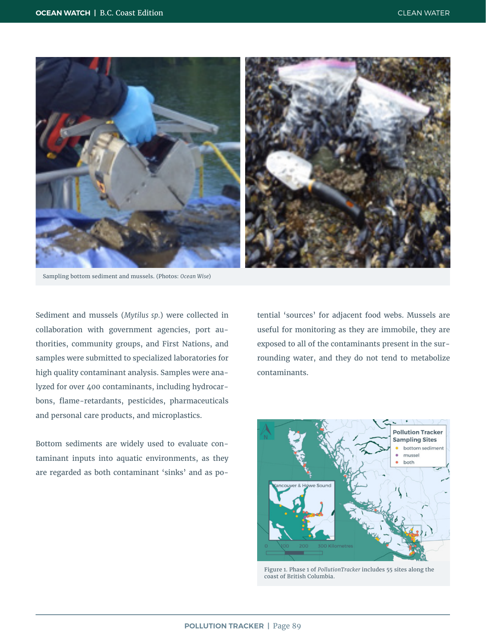

Sampling bottom sediment and mussels. (Photos: *Ocean Wise*)

Sediment and mussels (*Mytilus sp.*) were collected in collaboration with government agencies, port authorities, community groups, and First Nations, and samples were submitted to specialized laboratories for high quality contaminant analysis. Samples were analyzed for over 400 contaminants, including hydrocarbons, flame-retardants, pesticides, pharmaceuticals and personal care products, and microplastics.

Bottom sediments are widely used to evaluate contaminant inputs into aquatic environments, as they are regarded as both contaminant 'sinks' and as potential 'sources' for adjacent food webs. Mussels are useful for monitoring as they are immobile, they are exposed to all of the contaminants present in the surrounding water, and they do not tend to metabolize contaminants.



Figure 1. Phase 1 of *PollutionTracker* includes 55 sites along the coast of British Columbia.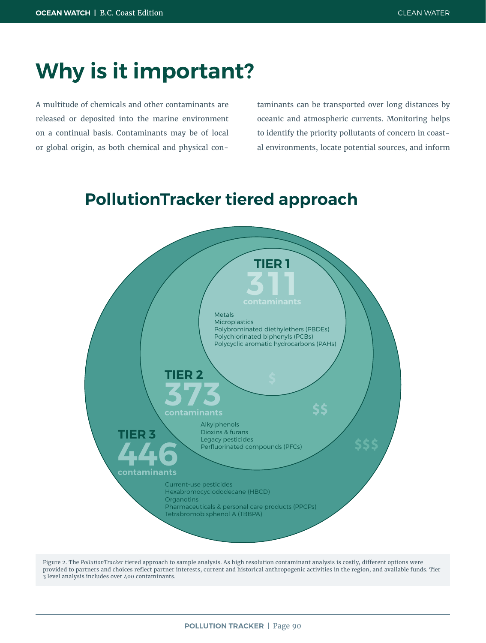### **Why is it important?**

A multitude of chemicals and other contaminants are released or deposited into the marine environment on a continual basis. Contaminants may be of local or global origin, as both chemical and physical con-

taminants can be transported over long distances by oceanic and atmospheric currents. Monitoring helps to identify the priority pollutants of concern in coastal environments, locate potential sources, and inform

#### **PollutionTracker tiered approach**



Figure 2. The *PollutionTracker* tiered approach to sample analysis. As high resolution contaminant analysis is costly, different options were provided to partners and choices reflect partner interests, current and historical anthropogenic activities in the region, and available funds. Tier 3 level analysis includes over 400 contaminants.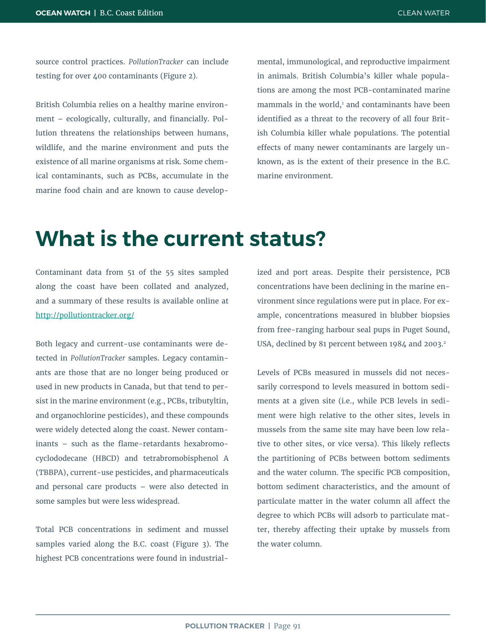source control practices. *PollutionTracker* can include testing for over 400 contaminants (Figure 2).

British Columbia relies on a healthy marine environment – ecologically, culturally, and financially. Pollution threatens the relationships between humans, wildlife, and the marine environment and puts the existence of all marine organisms at risk. Some chemical contaminants, such as PCBs, accumulate in the marine food chain and are known to cause developmental, immunological, and reproductive impairment in animals. British Columbia's killer whale populations are among the most PCB-contaminated marine  $m$ ammals in the world, $1$  and contaminants have been identified as a threat to the recovery of all four British Columbia killer whale populations. The potential effects of many newer contaminants are largely unknown, as is the extent of their presence in the B.C. marine environment.

#### **What is the current status?**

Contaminant data from 51 of the 55 sites sampled along the coast have been collated and analyzed, and a summary of these results is available online at <http://pollutiontracker.org/>

Both legacy and current-use contaminants were detected in *PollutionTracker* samples. Legacy contaminants are those that are no longer being produced or used in new products in Canada, but that tend to persist in the marine environment (e.g., PCBs, tributyltin, and organochlorine pesticides), and these compounds were widely detected along the coast. Newer contaminants – such as the flame-retardants hexabromocyclododecane (HBCD) and tetrabromobisphenol A (TBBPA), current-use pesticides, and pharmaceuticals and personal care products – were also detected in some samples but were less widespread.

Total PCB concentrations in sediment and mussel samples varied along the B.C. coast (Figure 3). The highest PCB concentrations were found in industrial-

ized and port areas. Despite their persistence, PCB concentrations have been declining in the marine environment since regulations were put in place. For example, concentrations measured in blubber biopsies from free-ranging harbour seal pups in Puget Sound, USA, declined by 81 percent between 1984 and 2003.<sup>2</sup>

Levels of PCBs measured in mussels did not necessarily correspond to levels measured in bottom sediments at a given site (i.e., while PCB levels in sediment were high relative to the other sites, levels in mussels from the same site may have been low relative to other sites, or vice versa). This likely reflects the partitioning of PCBs between bottom sediments and the water column. The specific PCB composition, bottom sediment characteristics, and the amount of particulate matter in the water column all affect the degree to which PCBs will adsorb to particulate matter, thereby affecting their uptake by mussels from the water column.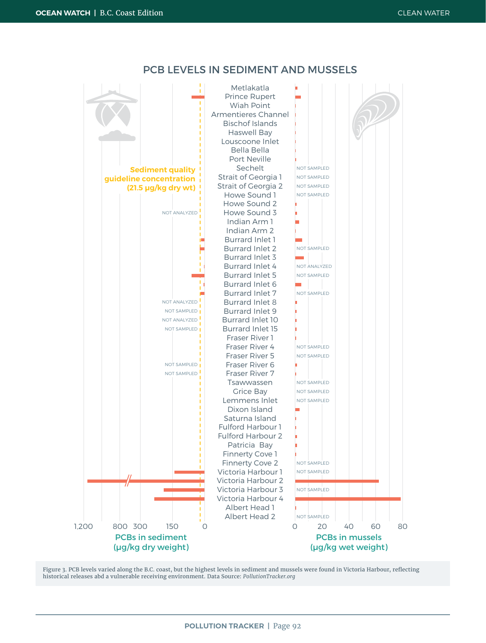



Figure 3. PCB levels varied along the B.C. coast, but the highest levels in sediment and mussels were found in Victoria Harbour, reflecting historical releases abd a vulnerable receiving environment. Data Source: *PollutionTracker.org*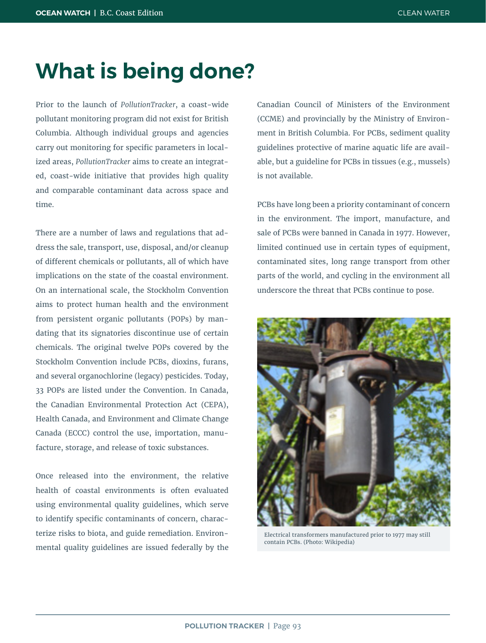### **What is being done?**

Prior to the launch of *PollutionTracker*, a coast-wide pollutant monitoring program did not exist for British Columbia. Although individual groups and agencies carry out monitoring for specific parameters in localized areas, *PollutionTracker* aims to create an integrated, coast-wide initiative that provides high quality and comparable contaminant data across space and time.

There are a number of laws and regulations that address the sale, transport, use, disposal, and/or cleanup of different chemicals or pollutants, all of which have implications on the state of the coastal environment. On an international scale, the Stockholm Convention aims to protect human health and the environment from persistent organic pollutants (POPs) by mandating that its signatories discontinue use of certain chemicals. The original twelve POPs covered by the Stockholm Convention include PCBs, dioxins, furans, and several organochlorine (legacy) pesticides. Today, 33 POPs are listed under the Convention. In Canada, the Canadian Environmental Protection Act (CEPA), Health Canada, and Environment and Climate Change Canada (ECCC) control the use, importation, manufacture, storage, and release of toxic substances.

Once released into the environment, the relative health of coastal environments is often evaluated using environmental quality guidelines, which serve to identify specific contaminants of concern, characterize risks to biota, and guide remediation. Environmental quality guidelines are issued federally by the Canadian Council of Ministers of the Environment (CCME) and provincially by the Ministry of Environment in British Columbia. For PCBs, sediment quality guidelines protective of marine aquatic life are available, but a guideline for PCBs in tissues (e.g., mussels) is not available.

PCBs have long been a priority contaminant of concern in the environment. The import, manufacture, and sale of PCBs were banned in Canada in 1977. However, limited continued use in certain types of equipment, contaminated sites, long range transport from other parts of the world, and cycling in the environment all underscore the threat that PCBs continue to pose.



Electrical transformers manufactured prior to 1977 may still contain PCBs. (Photo: Wikipedia)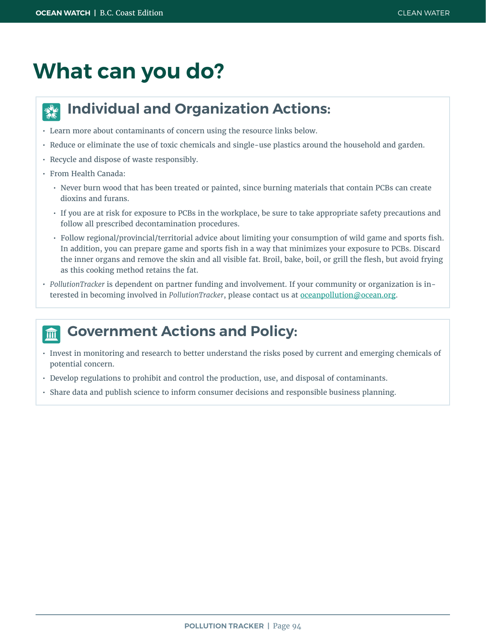## **What can you do?**

#### **Individual and Organization Actions:**  $\frac{1}{2}$

- Learn more about contaminants of concern using the resource links below.
- Reduce or eliminate the use of toxic chemicals and single-use plastics around the household and garden.
- Recycle and dispose of waste responsibly.
- From Health Canada:
	- Never burn wood that has been treated or painted, since burning materials that contain PCBs can create dioxins and furans.
	- If you are at risk for exposure to PCBs in the workplace, be sure to take appropriate safety precautions and follow all prescribed decontamination procedures.
	- Follow regional/provincial/territorial advice about limiting your consumption of wild game and sports fish. In addition, you can prepare game and sports fish in a way that minimizes your exposure to PCBs. Discard the inner organs and remove the skin and all visible fat. Broil, bake, boil, or grill the flesh, but avoid frying as this cooking method retains the fat.
- *• PollutionTracker* is dependent on partner funding and involvement. If your community or organization is interested in becoming involved in *PollutionTracker*, please [contact us](mailto:oceanpollution@ocean.org?subject=Pollution%20Tracker) at [oceanpollution@ocean.org](mailto:oceanpollution%40ocean.org?subject=).

#### **Government Actions and Policy:** 血

- Invest in monitoring and research to better understand the risks posed by current and emerging chemicals of potential concern.
- Develop regulations to prohibit and control the production, use, and disposal of contaminants.
- Share data and publish science to inform consumer decisions and responsible business planning.